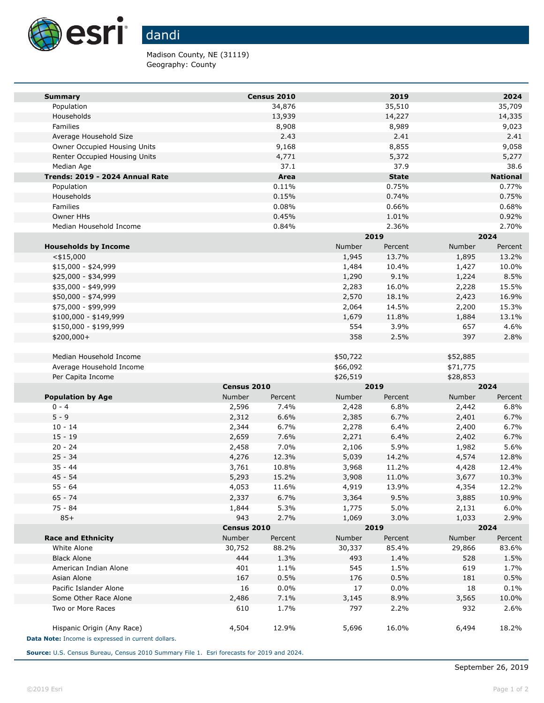

Madison County, NE (31119) Geography: County

| <b>Summary</b>                                     |             | Census 2010 |                | 2019          |                | 2024            |  |
|----------------------------------------------------|-------------|-------------|----------------|---------------|----------------|-----------------|--|
| Population                                         |             | 34,876      |                | 35,510        |                | 35,709          |  |
| Households                                         |             | 13,939      |                | 14,227        |                | 14,335          |  |
| Families                                           |             | 8,908       |                | 8,989         |                | 9,023           |  |
| Average Household Size                             |             | 2.43        |                | 2.41          |                | 2.41            |  |
| Owner Occupied Housing Units                       |             | 9,168       |                | 8,855         |                | 9,058           |  |
| Renter Occupied Housing Units                      |             | 4,771       |                | 5,372         |                | 5,277           |  |
| Median Age                                         |             | 37.1        |                | 37.9          |                | 38.6            |  |
| Trends: 2019 - 2024 Annual Rate                    |             | Area        |                | <b>State</b>  |                | <b>National</b> |  |
| Population                                         |             | 0.11%       |                | 0.75%         |                | 0.77%           |  |
| Households                                         |             | 0.15%       |                | 0.74%         |                | 0.75%           |  |
| Families                                           |             | 0.08%       |                | 0.66%         |                | 0.68%           |  |
| Owner HHs                                          |             | 0.45%       |                | 1.01%         |                | 0.92%           |  |
| Median Household Income                            |             | 0.84%       |                | 2.36%         |                | 2.70%           |  |
|                                                    |             |             |                | 2019          |                | 2024            |  |
| <b>Households by Income</b>                        |             |             | Number         | Percent       | Number         | Percent         |  |
| $<$ \$15,000                                       |             |             | 1,945          | 13.7%         | 1,895          | 13.2%           |  |
| \$15,000 - \$24,999<br>\$25,000 - \$34,999         |             |             | 1,484          | 10.4%         | 1,427          | 10.0%           |  |
| \$35,000 - \$49,999                                |             |             | 1,290          | 9.1%<br>16.0% | 1,224          | 8.5%            |  |
| \$50,000 - \$74,999                                |             |             | 2,283<br>2,570 | 18.1%         | 2,228<br>2,423 | 15.5%<br>16.9%  |  |
| \$75,000 - \$99,999                                |             |             | 2,064          | 14.5%         | 2,200          | 15.3%           |  |
| $$100,000 - $149,999$                              |             |             | 1,679          | 11.8%         | 1,884          | 13.1%           |  |
| \$150,000 - \$199,999                              |             |             | 554            | 3.9%          | 657            | 4.6%            |  |
| $$200,000+$                                        |             |             | 358            | 2.5%          | 397            | 2.8%            |  |
|                                                    |             |             |                |               |                |                 |  |
| Median Household Income                            |             |             | \$50,722       |               | \$52,885       |                 |  |
| Average Household Income                           |             |             | \$66,092       |               | \$71,775       |                 |  |
| Per Capita Income                                  |             |             | \$26,519       |               | \$28,853       |                 |  |
|                                                    | Census 2010 |             | 2019           |               | 2024           |                 |  |
| <b>Population by Age</b>                           | Number      | Percent     | Number         | Percent       | Number         | Percent         |  |
| $0 - 4$                                            | 2,596       | 7.4%        | 2,428          | 6.8%          | 2,442          | 6.8%            |  |
| $5 - 9$                                            | 2,312       | 6.6%        | 2,385          | 6.7%          | 2,401          | 6.7%            |  |
| $10 - 14$                                          | 2,344       | 6.7%        | 2,278          | 6.4%          | 2,400          | 6.7%            |  |
| $15 - 19$                                          | 2,659       | 7.6%        | 2,271          | 6.4%          | 2,402          | 6.7%            |  |
| $20 - 24$                                          | 2,458       | 7.0%        | 2,106          | 5.9%          | 1,982          | 5.6%            |  |
| $25 - 34$                                          | 4,276       | 12.3%       | 5,039          | 14.2%         | 4,574          | 12.8%           |  |
| $35 - 44$                                          | 3,761       | 10.8%       | 3,968          | 11.2%         | 4,428          | 12.4%           |  |
| $45 - 54$                                          | 5,293       | 15.2%       | 3,908          | 11.0%         | 3,677          | 10.3%           |  |
| $55 - 64$                                          | 4,053       | 11.6%       | 4,919          | 13.9%         | 4,354          | 12.2%           |  |
| $65 - 74$                                          | 2,337       | 6.7%        | 3,364          | 9.5%          | 3,885          | 10.9%           |  |
| 75 - 84                                            | 1,844       | 5.3%        | 1,775          | 5.0%          | 2,131          | 6.0%            |  |
| $85+$                                              | 943         | 2.7%        | 1,069          | 3.0%          | 1,033          | 2.9%            |  |
|                                                    | Census 2010 |             | 2019           |               | 2024           |                 |  |
| <b>Race and Ethnicity</b>                          | Number      | Percent     | Number         | Percent       | Number         | Percent         |  |
| White Alone                                        | 30,752      | 88.2%       | 30,337         | 85.4%         | 29,866         | 83.6%           |  |
| <b>Black Alone</b>                                 | 444         | 1.3%        | 493            | 1.4%          | 528            | 1.5%            |  |
| American Indian Alone                              | 401         | 1.1%        | 545            | 1.5%          | 619            | 1.7%            |  |
| Asian Alone                                        | 167         | 0.5%        | 176            | 0.5%          | 181            | 0.5%            |  |
| Pacific Islander Alone                             | 16          | 0.0%        | 17             | 0.0%          | 18             | 0.1%            |  |
| Some Other Race Alone                              | 2,486       | 7.1%        | 3,145          | 8.9%          | 3,565          | 10.0%           |  |
| Two or More Races                                  | 610         | 1.7%        | 797            | 2.2%          | 932            | 2.6%            |  |
| Hispanic Origin (Any Race)                         | 4,504       | 12.9%       | 5,696          | 16.0%         | 6,494          | 18.2%           |  |
| Data Note: Income is expressed in current dollars. |             |             |                |               |                |                 |  |
|                                                    |             |             |                |               |                |                 |  |

**Source:** U.S. Census Bureau, Census 2010 Summary File 1. Esri forecasts for 2019 and 2024.